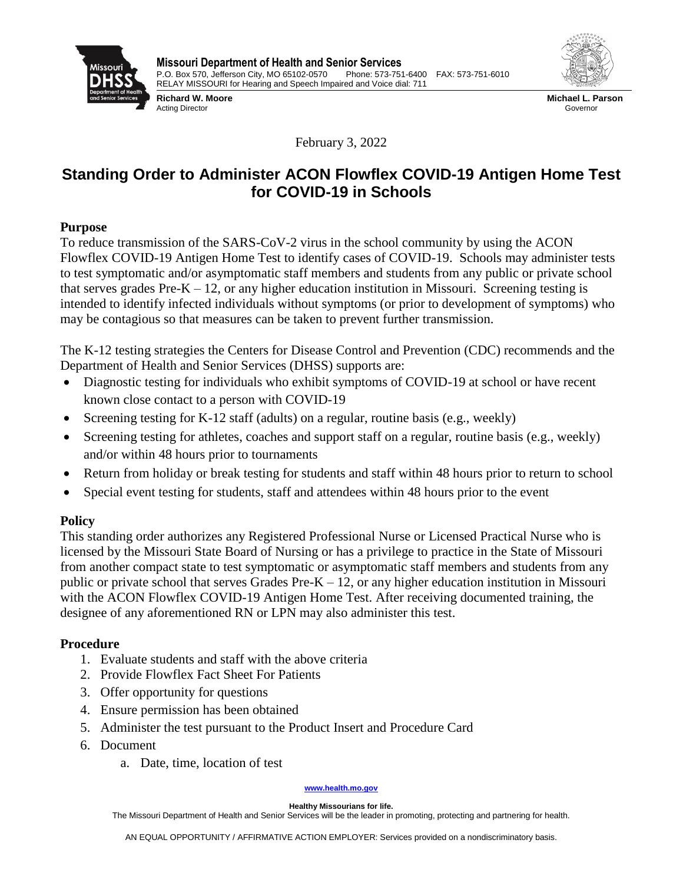

**Richard W. Moore** Acting Director



**Michael L. Parson** Governor

February 3, 2022

# **Standing Order to Administer ACON Flowflex COVID-19 Antigen Home Test for COVID-19 in Schools**

### **Purpose**

To reduce transmission of the SARS-CoV-2 virus in the school community by using the ACON Flowflex COVID-19 Antigen Home Test to identify cases of COVID-19. Schools may administer tests to test symptomatic and/or asymptomatic staff members and students from any public or private school that serves grades Pre-K  $-12$ , or any higher education institution in Missouri. Screening testing is intended to identify infected individuals without symptoms (or prior to development of symptoms) who may be contagious so that measures can be taken to prevent further transmission.

The K-12 testing strategies the Centers for Disease Control and Prevention (CDC) recommends and the Department of Health and Senior Services (DHSS) supports are:

- Diagnostic testing for individuals who exhibit symptoms of COVID-19 at school or have recent known close contact to a person with COVID-19
- Screening testing for K-12 staff (adults) on a regular, routine basis (e.g., weekly)
- Screening testing for athletes, coaches and support staff on a regular, routine basis (e.g., weekly) and/or within 48 hours prior to tournaments
- Return from holiday or break testing for students and staff within 48 hours prior to return to school
- Special event testing for students, staff and attendees within 48 hours prior to the event

## **Policy**

This standing order authorizes any Registered Professional Nurse or Licensed Practical Nurse who is licensed by the Missouri State Board of Nursing or has a privilege to practice in the State of Missouri from another compact state to test symptomatic or asymptomatic staff members and students from any public or private school that serves Grades Pre- $K - 12$ , or any higher education institution in Missouri with the ACON Flowflex COVID-19 Antigen Home Test. After receiving documented training, the designee of any aforementioned RN or LPN may also administer this test.

#### **Procedure**

- 1. Evaluate students and staff with the above criteria
- 2. Provide Flowflex Fact Sheet For Patients
- 3. Offer opportunity for questions
- 4. Ensure permission has been obtained
- 5. Administer the test pursuant to the Product Insert and Procedure Card
- 6. Document
	- a. Date, time, location of test

#### **[www.health.mo.gov](http://www.health.mo.gov/)**

**Healthy Missourians for life.** The Missouri Department of Health and Senior Services will be the leader in promoting, protecting and partnering for health.